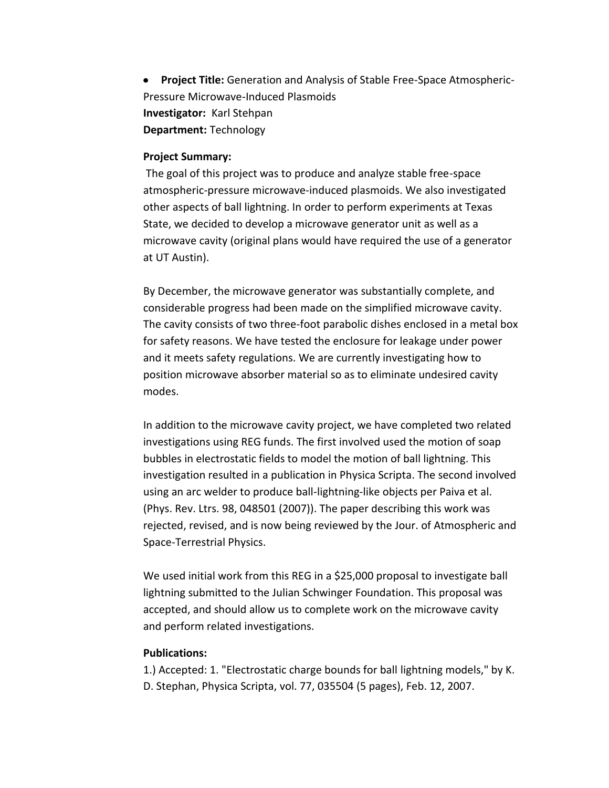**Project Title:** Generation and Analysis of Stable Free-Space Atmospheric- $\bullet$ Pressure Microwave-Induced Plasmoids **Investigator:** Karl Stehpan **Department:** Technology

#### **Project Summary:**

The goal of this project was to produce and analyze stable free-space atmospheric-pressure microwave-induced plasmoids. We also investigated other aspects of ball lightning. In order to perform experiments at Texas State, we decided to develop a microwave generator unit as well as a microwave cavity (original plans would have required the use of a generator at UT Austin).

By December, the microwave generator was substantially complete, and considerable progress had been made on the simplified microwave cavity. The cavity consists of two three-foot parabolic dishes enclosed in a metal box for safety reasons. We have tested the enclosure for leakage under power and it meets safety regulations. We are currently investigating how to position microwave absorber material so as to eliminate undesired cavity modes.

In addition to the microwave cavity project, we have completed two related investigations using REG funds. The first involved used the motion of soap bubbles in electrostatic fields to model the motion of ball lightning. This investigation resulted in a publication in Physica Scripta. The second involved using an arc welder to produce ball-lightning-like objects per Paiva et al. (Phys. Rev. Ltrs. 98, 048501 (2007)). The paper describing this work was rejected, revised, and is now being reviewed by the Jour. of Atmospheric and Space-Terrestrial Physics.

We used initial work from this REG in a \$25,000 proposal to investigate ball lightning submitted to the Julian Schwinger Foundation. This proposal was accepted, and should allow us to complete work on the microwave cavity and perform related investigations.

#### **Publications:**

1.) Accepted: 1. "Electrostatic charge bounds for ball lightning models," by K. D. Stephan, Physica Scripta, vol. 77, 035504 (5 pages), Feb. 12, 2007.